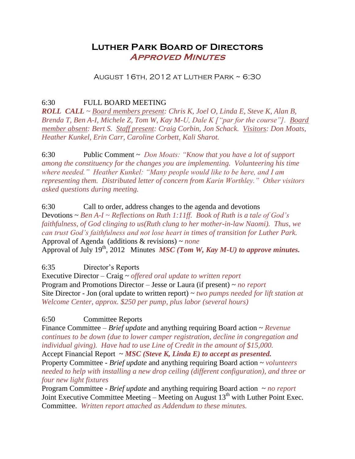# **Luther Park Board of Directors Approved Minutes**

#### August 16th, 2012 at Luther Park ~ 6:30

6:30 FULL BOARD MEETING

*ROLL CALL ~ Board members present: Chris K, Joel O, Linda E, Steve K, Alan B, Brenda T, Ben A-I, Michele Z, Tom W, Kay M-U, Dale K ["par for the course"]. Board member absent: Bert S. Staff present: Craig Corbin, Jon Schack. Visitors: Don Moats, Heather Kunkel, Erin Carr, Caroline Corbett, Kali Sharot.*

6:30 Public Comment ~ *Don Moats: "Know that you have a lot of support among the constituency for the changes you are implementing. Volunteering his time where needed." Heather Kunkel: "Many people would like to be here, and I am representing them. Distributed letter of concern from Karin Worthley." Other visitors asked questions during meeting.*

6:30 Call to order, address changes to the agenda and devotions Devotions ~ *Ben A-I ~ Reflections on Ruth 1:11ff. Book of Ruth is a tale of God's faithfulness, of God clinging to us(Ruth clung to her mother-in-law Naomi). Thus, we can trust God's faithfulness and not lose heart in times of transition for Luther Park.* Approval of Agenda (additions & revisions) ~ *none* Approval of July 19<sup>th</sup>, 2012 Minutes *MSC (Tom W, Kay M-U) to approve minutes.* 

6:35 Director's Reports

Executive Director – Craig ~ *offered oral update to written report* Program and Promotions Director – Jesse or Laura (if present) ~ *no report* Site Director - Jon (oral update to written report) ~ *two pumps needed for lift station at Welcome Center, approx. \$250 per pump, plus labor (several hours)*

# 6:50 Committee Reports

Finance Committee – *Brief update* and anything requiring Board action ~ *Revenue continues to be down (due to lower camper registration, decline in congregation and individual giving). Have had to use Line of Credit in the amount of \$15,000.* Accept Financial Report ~ *MSC (Steve K, Linda E) to accept as presented.* Property Committee - *Brief update* and anything requiring Board action ~ *volunteers* 

*needed to help with installing a new drop ceiling (different configuration), and three or four new light fixtures*

Program Committee - *Brief update* and anything requiring Board action ~ *no report* Joint Executive Committee Meeting – Meeting on August  $13<sup>th</sup>$  with Luther Point Exec. Committee. *Written report attached as Addendum to these minutes.*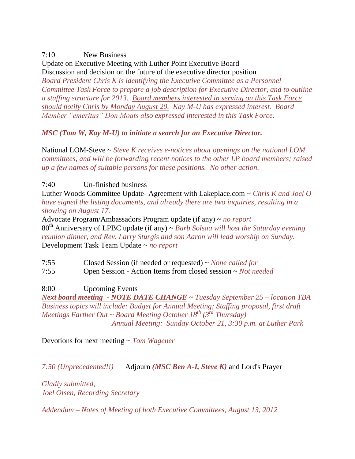# 7:10 New Business

Update on Executive Meeting with Luther Point Executive Board – Discussion and decision on the future of the executive director position *Board President Chris K is identifying the Executive Committee as a Personnel Committee Task Force to prepare a job description for Executive Director, and to outline a staffing structure for 2013. Board members interested in serving on this Task Force should notify Chris by Monday August 20. Kay M-U has expressed interest. Board Member "emeritus" Don Moats also expressed interested in this Task Force.*

#### *MSC (Tom W, Kay M-U) to initiate a search for an Executive Director.*

National LOM-Steve ~ *Steve K receives e-notices about openings on the national LOM committees, and will be forwarding recent notices to the other LP board members; raised up a few names of suitable persons for these positions. No other action.*

7:40 Un-finished business

Luther Woods Committee Update- Agreement with Lakeplace.com ~ *Chris K and Joel O have signed the listing documents, and already there are two inquiries, resulting in a showing on August 17.*

Advocate Program/Ambassadors Program update (if any) ~ *no report* 80th Anniversary of LPBC update (if any) ~ *Barb Solsaa will host the Saturday evening reunion dinner, and Rev. Larry Sturgis and son Aaron will lead worship on Sunday.* Development Task Team Update ~ *no report*

7:55 Closed Session (if needed or requested) ~ *None called for*

7:55 Open Session - Action Items from closed session ~ *Not needed*

8:00 Upcoming Events

*Next board meeting - NOTE DATE CHANGE ~ Tuesday September 25 – location TBA Business topics will include: Budget for Annual Meeting; Staffing proposal, first draft Meetings Farther Out ~ Board Meeting October 18th (3rd Thursday) Annual Meeting: Sunday October 21, 3:30 p.m. at Luther Park*

Devotions for next meeting ~ *Tom Wagener*

*7:50 (Unprecedented!!)* Adjourn *(MSC Ben A-I, Steve K)* and Lord's Prayer

*Gladly submitted, Joel Olsen, Recording Secretary*

*Addendum – Notes of Meeting of both Executive Committees, August 13, 2012*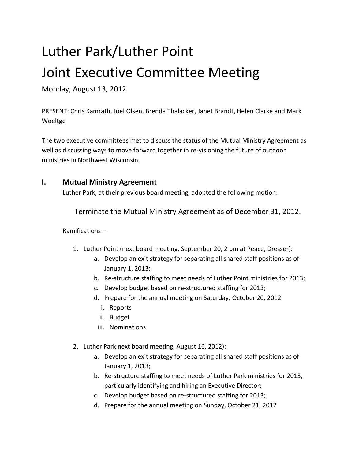# Luther Park/Luther Point Joint Executive Committee Meeting

Monday, August 13, 2012

PRESENT: Chris Kamrath, Joel Olsen, Brenda Thalacker, Janet Brandt, Helen Clarke and Mark Woeltge

The two executive committees met to discuss the status of the Mutual Ministry Agreement as well as discussing ways to move forward together in re-visioning the future of outdoor ministries in Northwest Wisconsin.

# **I. Mutual Ministry Agreement**

Luther Park, at their previous board meeting, adopted the following motion:

Terminate the Mutual Ministry Agreement as of December 31, 2012.

#### Ramifications –

- 1. Luther Point (next board meeting, September 20, 2 pm at Peace, Dresser):
	- a. Develop an exit strategy for separating all shared staff positions as of January 1, 2013;
	- b. Re-structure staffing to meet needs of Luther Point ministries for 2013;
	- c. Develop budget based on re-structured staffing for 2013;
	- d. Prepare for the annual meeting on Saturday, October 20, 2012
		- i. Reports
		- ii. Budget
		- iii. Nominations
- 2. Luther Park next board meeting, August 16, 2012):
	- a. Develop an exit strategy for separating all shared staff positions as of January 1, 2013;
	- b. Re-structure staffing to meet needs of Luther Park ministries for 2013, particularly identifying and hiring an Executive Director;
	- c. Develop budget based on re-structured staffing for 2013;
	- d. Prepare for the annual meeting on Sunday, October 21, 2012